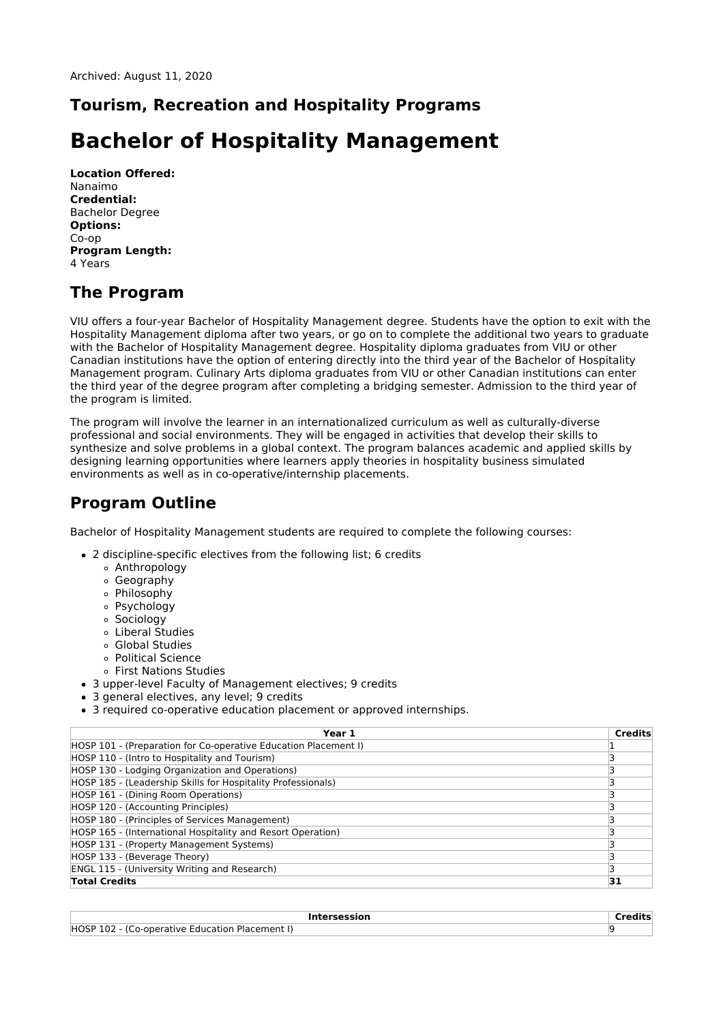## **Tourism, Recreation and Hospitality Programs**

# **Bachelor of Hospitality Management**

**Location Offered:** Nanaimo **Credential:** Bachelor Degree **Options:** Co-op **Program Length:** 4 Years

# **The Program**

VIU offers a four-year Bachelor of Hospitality Management degree. Students have the option to exit with the Hospitality Management diploma after two years, or go on to complete the additional two years to graduate with the Bachelor of Hospitality Management degree. Hospitality diploma graduates from VIU or other Canadian institutions have the option of entering directly into the third year of the Bachelor of Hospitality Management program. Culinary Arts diploma graduates from VIU or other Canadian institutions can enter the third year of the degree program after completing a bridging semester. Admission to the third year of the program is limited.

The program will involve the learner in an internationalized curriculum as well as culturally-diverse professional and social environments. They will be engaged in activities that develop their skills to synthesize and solve problems in a global context. The program balances academic and applied skills by designing learning opportunities where learners apply theories in hospitality business simulated environments as well as in co-operative/internship placements.

# **Program Outline**

Bachelor of Hospitality Management students are required to complete the following courses:

- 2 discipline-specific electives from the following list; 6 credits
	- Anthropology
	- Geography
	- Philosophy
	- Psychology
	- Sociology
	- Liberal Studies
	- Global Studies
	- Political Science
	- First Nations Studies
- 3 upper-level Faculty of Management electives; 9 credits
- 3 general electives, any level; 9 credits
- 3 required co-operative education placement or approved internships.

| Year 1                                                          | <b>Credits</b> |
|-----------------------------------------------------------------|----------------|
| HOSP 101 - (Preparation for Co-operative Education Placement I) |                |
| HOSP 110 - (Intro to Hospitality and Tourism)                   |                |
| HOSP 130 - Lodging Organization and Operations)                 |                |
| HOSP 185 - (Leadership Skills for Hospitality Professionals)    |                |
| HOSP 161 - (Dining Room Operations)                             |                |
| HOSP 120 - (Accounting Principles)                              |                |
| HOSP 180 - (Principles of Services Management)                  |                |
| HOSP 165 - (International Hospitality and Resort Operation)     |                |
| HOSP 131 - (Property Management Systems)                        |                |
| HOSP 133 - (Beverage Theory)                                    |                |
| <b>ENGL 115 - (University Writing and Research)</b>             |                |
| <b>Total Credits</b>                                            | 31             |

| ersession:                                                                      | .<br>. |
|---------------------------------------------------------------------------------|--------|
| <b>HOSP</b><br>-Placement I<br><b>Education</b><br>a `o-onerative '<br>102 - (1 |        |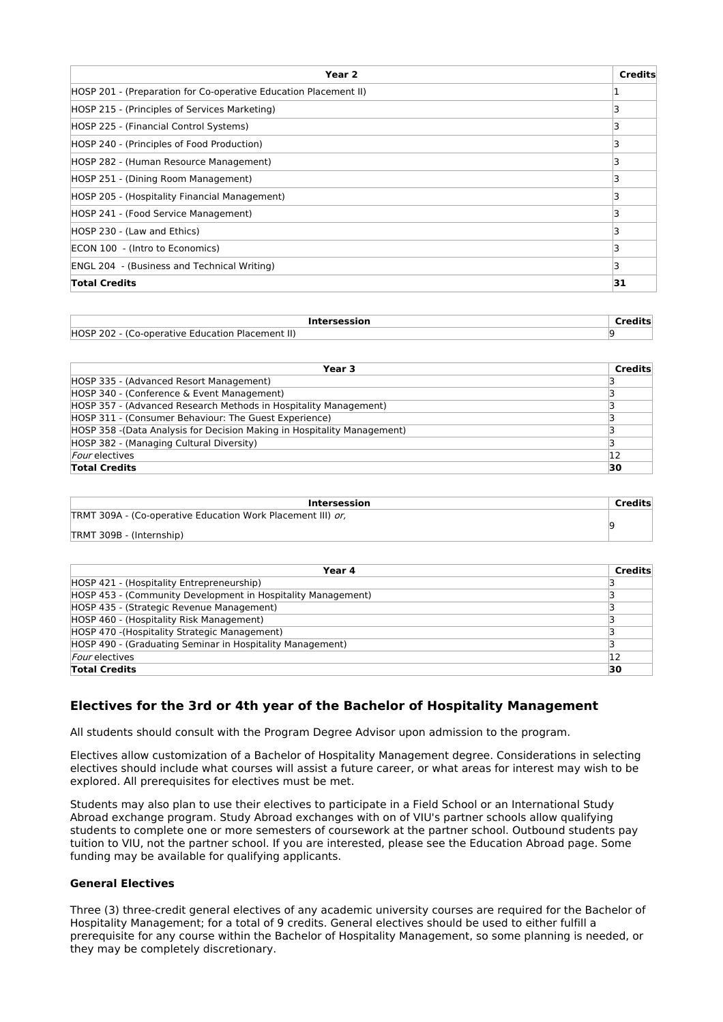| Year <sub>2</sub>                                                 | <b>Credits</b> |
|-------------------------------------------------------------------|----------------|
| (HOSP 201 - (Preparation for Co-operative Education Placement II) |                |
| HOSP 215 - (Principles of Services Marketing)                     |                |
| HOSP 225 - (Financial Control Systems)                            |                |
| HOSP 240 - (Principles of Food Production)                        |                |
| HOSP 282 - (Human Resource Management)                            |                |
| HOSP 251 - (Dining Room Management)                               |                |
| HOSP 205 - (Hospitality Financial Management)                     |                |
| HOSP 241 - (Food Service Management)                              |                |
| HOSP 230 - (Law and Ethics)                                       |                |
| ECON 100 - (Intro to Economics)                                   |                |
| <b>ENGL 204 - (Business and Technical Writing)</b>                |                |
| <b>Total Credits</b>                                              | 31             |

| <b>Intersession</b>                              |  |
|--------------------------------------------------|--|
| HOSP 202 - (Co-operative Education Placement II) |  |

| Year 3                                                                   | Credits |
|--------------------------------------------------------------------------|---------|
| HOSP 335 - (Advanced Resort Management)                                  |         |
| HOSP 340 - (Conference & Event Management)                               |         |
| HOSP 357 - (Advanced Research Methods in Hospitality Management)         |         |
| HOSP 311 - (Consumer Behaviour: The Guest Experience)                    |         |
| HOSP 358 - (Data Analysis for Decision Making in Hospitality Management) |         |
| HOSP 382 - (Managing Cultural Diversity)                                 |         |
| <i>Four</i> electives                                                    | 12      |
| <b>Total Credits</b>                                                     | 30      |

| Intersession                                                | <b>Credits</b> |
|-------------------------------------------------------------|----------------|
| TRMT 309A - (Co-operative Education Work Placement III) or, |                |
| TRMT 309B - (Internship)                                    |                |

| Year 4                                                       | <b>Credits</b> |
|--------------------------------------------------------------|----------------|
| HOSP 421 - (Hospitality Entrepreneurship)                    |                |
| HOSP 453 - (Community Development in Hospitality Management) |                |
| HOSP 435 - (Strategic Revenue Management)                    |                |
| HOSP 460 - (Hospitality Risk Management)                     |                |
| HOSP 470 - (Hospitality Strategic Management)                |                |
| HOSP 490 - (Graduating Seminar in Hospitality Management)    |                |
| <i>Four</i> electives                                        | 12             |
| <b>Total Credits</b>                                         | 30             |

### **Electives for the 3rd or 4th year of the Bachelor of Hospitality Management**

All students should consult with the Program Degree Advisor upon admission to the program.

Electives allow customization of a Bachelor of Hospitality Management degree. Considerations in selecting electives should include what courses will assist a future career, or what areas for interest may wish to be explored. All prerequisites for electives must be met.

Students may also plan to use their electives to participate in a Field School or an International Study Abroad exchange program. Study Abroad exchanges with on of VIU's partner schools allow qualifying students to complete one or more semesters of coursework at the partner school. Outbound students pay tuition to VIU, not the partner school. If you are interested, please see the Education Abroad page. Some funding may be available for qualifying applicants.

### **General Electives**

Three (3) three-credit general electives of any academic university courses are required for the Bachelor of Hospitality Management; for a total of 9 credits. General electives should be used to either fulfill a prerequisite for any course within the Bachelor of Hospitality Management, so some planning is needed, or they may be completely discretionary.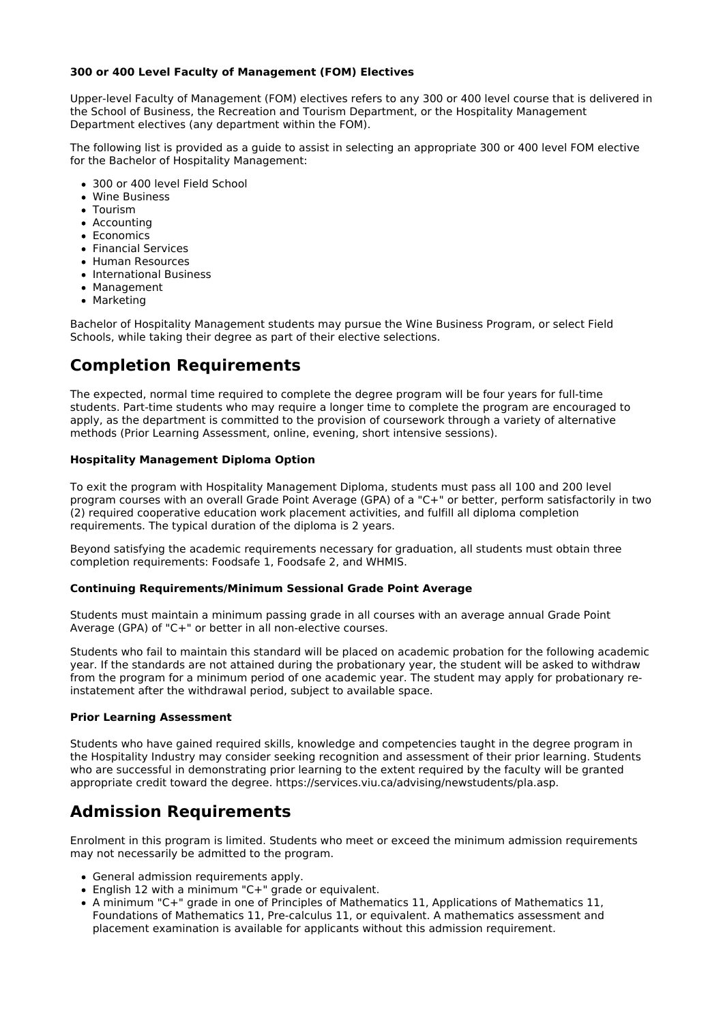### **300 or 400 Level Faculty of Management (FOM) Electives**

Upper-level Faculty of Management (FOM) electives refers to any 300 or 400 level course that is delivered in the School of Business, the Recreation and Tourism Department, or the Hospitality Management Department electives (any department within the FOM).

The following list is provided as a guide to assist in selecting an appropriate 300 or 400 level FOM elective for the Bachelor of Hospitality Management:

- 300 or 400 level Field School
- Wine Business
- **C**Tourism
- Accounting
- Economics
- Financial Services
- Human Resources
- International Business
- Management
- Marketing

Bachelor of Hospitality Management students may pursue the Wine Business Program, or select Field Schools, while taking their degree as part of their elective selections.

# **Completion Requirements**

The expected, normal time required to complete the degree program will be four years for full-time students. Part-time students who may require a longer time to complete the program are encouraged to apply, as the department is committed to the provision of coursework through a variety of alternative methods (Prior Learning Assessment, online, evening, short intensive sessions).

### **Hospitality Management Diploma Option**

To exit the program with Hospitality Management Diploma, students must pass all 100 and 200 level program courses with an overall Grade Point Average (GPA) of a "C+" or better, perform satisfactorily in two (2) required cooperative education work placement activities, and fulfill all diploma completion requirements. The typical duration of the diploma is 2 years.

Beyond satisfying the academic requirements necessary for graduation, all students must obtain three completion requirements: Foodsafe 1, Foodsafe 2, and WHMIS.

#### **Continuing Requirements/Minimum Sessional Grade Point Average**

Students must maintain a minimum passing grade in all courses with an average annual Grade Point Average (GPA) of "C+" or better in all non-elective courses.

Students who fail to maintain this standard will be placed on academic probation for the following academic year. If the standards are not attained during the probationary year, the student will be asked to withdraw from the program for a minimum period of one academic year. The student may apply for probationary reinstatement after the withdrawal period, subject to available space.

#### **Prior Learning Assessment**

Students who have gained required skills, knowledge and competencies taught in the degree program in the Hospitality Industry may consider seeking recognition and assessment of their prior learning. Students who are successful in demonstrating prior learning to the extent required by the faculty will be granted appropriate credit toward the degree. https://services.viu.ca/advising/newstudents/pla.asp.

### **Admission Requirements**

Enrolment in this program is limited. Students who meet or exceed the minimum admission requirements may not necessarily be admitted to the program.

- General admission requirements apply.
- English 12 with a minimum "C+" grade or equivalent.
- A minimum "C+" grade in one of Principles of Mathematics 11, Applications of Mathematics 11, Foundations of Mathematics 11, Pre-calculus 11, or equivalent. A mathematics assessment and placement examination is available for applicants without this admission requirement.